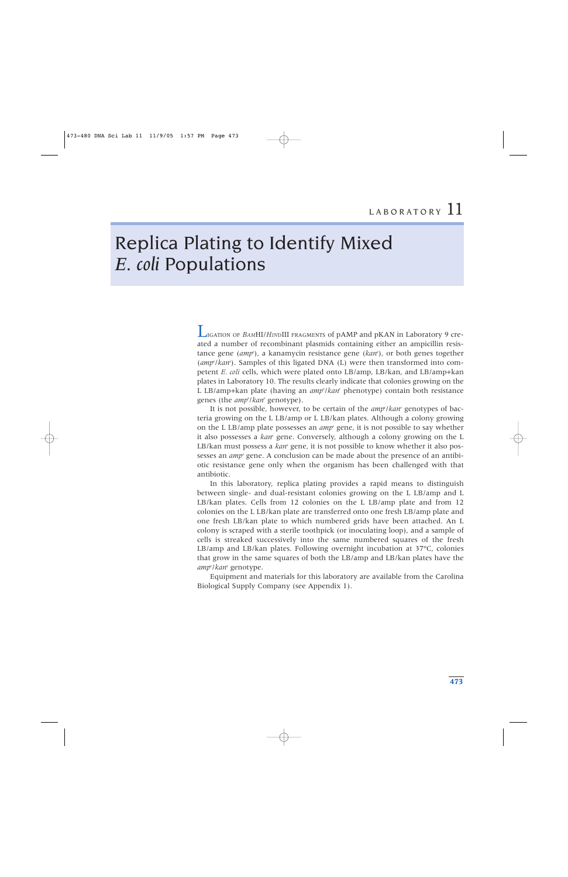# Replica Plating to Identify Mixed *E. coli* Populations

LIGATION OF *BAM*HI/*HIN*DIII FRAGMENTS of pAMP and pKAN in Laboratory 9 created a number of recombinant plasmids containing either an ampicillin resistance gene (*amp*<sup>r</sup> ), a kanamycin resistance gene (*kan*<sup>r</sup> ), or both genes together (amp<sup>r</sup>/kan<sup>r</sup>). Samples of this ligated DNA (L) were then transformed into competent *E. coli* cells, which were plated onto LB/amp, LB/kan, and LB/amp+kan plates in Laboratory 10. The results clearly indicate that colonies growing on the L LB/amp+kan plate (having an *amp*<sup>r</sup> /*kan*<sup>r</sup> phenotype) contain both resistance genes (the *amp*<sup>r</sup> /*kan*<sup>r</sup> genotype).

It is not possible, however, to be certain of the *amp*<sup>r</sup> /*kan*<sup>r</sup> genotypes of bacteria growing on the L LB/amp or L LB/kan plates. Although a colony growing on the L LB/amp plate possesses an *amp*<sup>r</sup> gene, it is not possible to say whether it also possesses a *kan*<sup>r</sup> gene. Conversely, although a colony growing on the L LB/kan must possess a *kan*<sup>r</sup> gene, it is not possible to know whether it also possesses an *amp*<sup>r</sup> gene. A conclusion can be made about the presence of an antibiotic resistance gene only when the organism has been challenged with that antibiotic.

In this laboratory, replica plating provides a rapid means to distinguish between single- and dual-resistant colonies growing on the L LB/amp and L LB/kan plates. Cells from 12 colonies on the L LB/amp plate and from 12 colonies on the L LB/kan plate are transferred onto one fresh LB/amp plate and one fresh LB/kan plate to which numbered grids have been attached. An L colony is scraped with a sterile toothpick (or inoculating loop), and a sample of cells is streaked successively into the same numbered squares of the fresh LB/amp and LB/kan plates. Following overnight incubation at 37ºC, colonies that grow in the same squares of both the LB/amp and LB/kan plates have the *amp*<sup>r</sup> /*kan*<sup>r</sup> genotype.

Equipment and materials for this laboratory are available from the Carolina Biological Supply Company (see Appendix 1).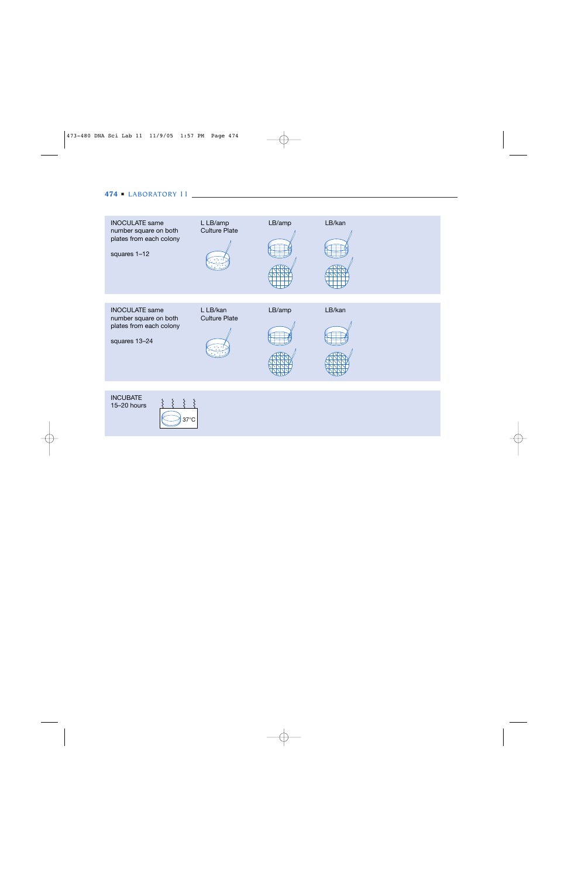# **474** ■ LABORATORY 11

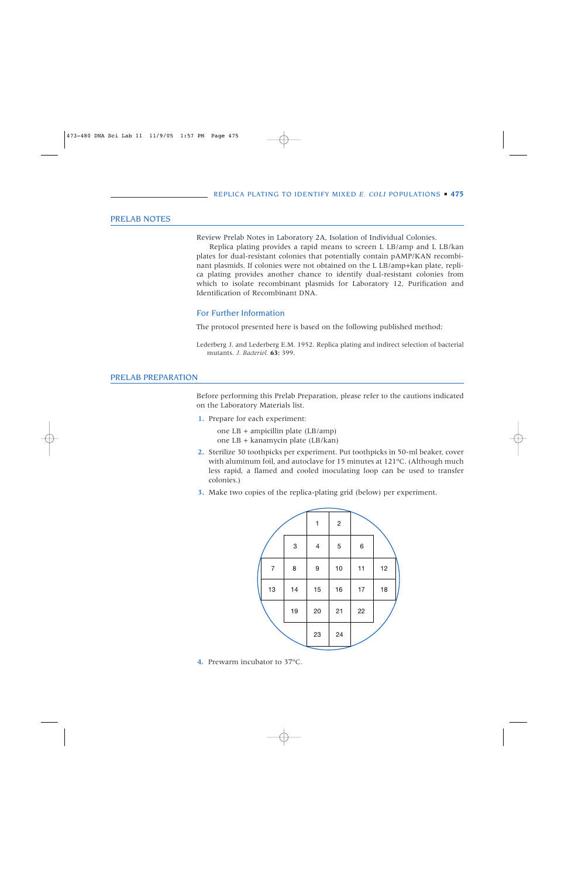# PRELAB NOTES

Review Prelab Notes in Laboratory 2A, Isolation of Individual Colonies.

Replica plating provides a rapid means to screen L LB/amp and L LB/kan plates for dual-resistant colonies that potentially contain pAMP/KAN recombinant plasmids. If colonies were not obtained on the L LB/amp+kan plate, replica plating provides another chance to identify dual-resistant colonies from which to isolate recombinant plasmids for Laboratory 12, Purification and Identification of Recombinant DNA.

# For Further Information

The protocol presented here is based on the following published method:

# PRELAB PREPARATION

Before performing this Prelab Preparation, please refer to the cautions indicated on the Laboratory Materials list.

1. Prepare for each experiment:

one LB + ampicillin plate (LB/amp) one LB + kanamycin plate (LB/kan)

- 2. Sterilize 30 toothpicks per experiment. Put toothpicks in 50-ml beaker, cover with aluminum foil, and autoclave for 15 minutes at 121ºC. (Although much less rapid, a flamed and cooled inoculating loop can be used to transfer colonies.)
- 3. Make two copies of the replica-plating grid (below) per experiment.



4. Prewarm incubator to 37ºC.

Lederberg J. and Lederberg E.M. 1952. Replica plating and indirect selection of bacterial mutants. *J. Bacteriol.* **63:** 399.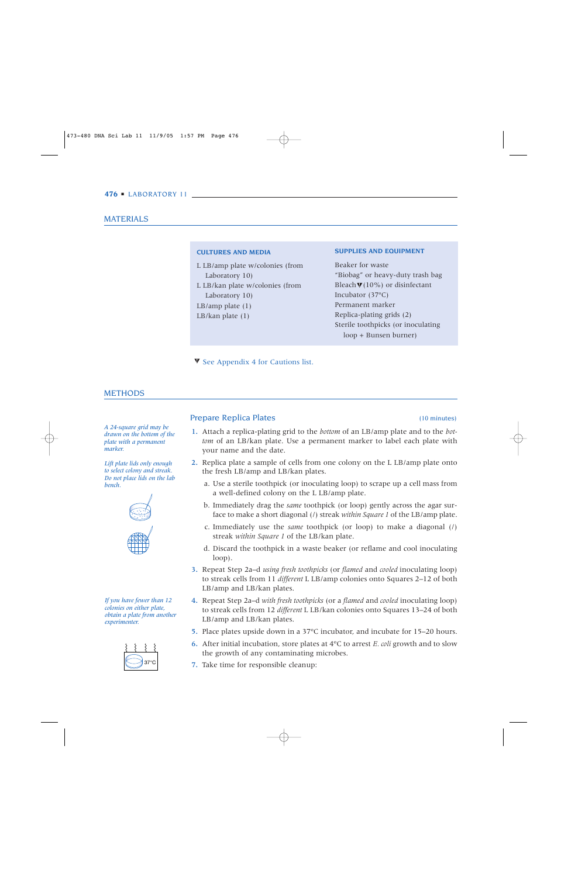# MATERIALS

### **CULTURES AND MEDIA**

L LB/amp plate w/colonies (from Laboratory 10) L LB/kan plate w/colonies (from Laboratory 10) LB/amp plate (1) LB/kan plate (1)

#### **SUPPLIES AND EQUIPMENT**

Beaker for waste "Biobag" or heavy-duty trash bag Bleach  $\Psi(10\%)$  or disinfectant Incubator (37ºC) Permanent marker Replica-plating grids (2) Sterile toothpicks (or inoculating loop + Bunsen burner)

 $\blacktriangledown$  See Appendix 4 for Cautions list.

# **METHODS**

*A 24-square grid may be drawn on the bottom of the plate with a permanent marker.*

*Lift plate lids only enough to select colony and streak. Do not place lids on the lab bench.*



*If you have fewer than 12 colonies on either plate, obtain a plate from another experimenter.*



# Prepare Replica Plates (10 minutes)

- 1. Attach a replica-plating grid to the *bottom* of an LB/amp plate and to the *bottom* of an LB/kan plate. Use a permanent marker to label each plate with your name and the date.
- 2. Replica plate a sample of cells from one colony on the L LB/amp plate onto the fresh LB/amp and LB/kan plates.
	- a. Use a sterile toothpick (or inoculating loop) to scrape up a cell mass from a well-defined colony on the L LB/amp plate.
	- b. Immediately drag the *same* toothpick (or loop) gently across the agar surface to make a short diagonal (/) streak *within Square 1* of the LB/amp plate.
	- c. Immediately use the *same* toothpick (or loop) to make a diagonal (/) streak *within Square 1* of the LB/kan plate.
	- d. Discard the toothpick in a waste beaker (or reflame and cool inoculating loop).
- 3. Repeat Step 2a–d *using fresh toothpicks* (or *flamed* and *cooled* inoculating loop) to streak cells from 11 *different* L LB/amp colonies onto Squares 2–12 of both LB/amp and LB/kan plates.
- 4. Repeat Step 2a–d *with fresh toothpicks* (or a *flamed* and *cooled* inoculating loop) to streak cells from 12 *different* L LB/kan colonies onto Squares 13–24 of both LB/amp and LB/kan plates.
- 5. Place plates upside down in a 37ºC incubator, and incubate for 15–20 hours.
- 6. After initial incubation, store plates at 4ºC to arrest *E. coli* growth and to slow the growth of any contaminating microbes.
- 7. Take time for responsible cleanup: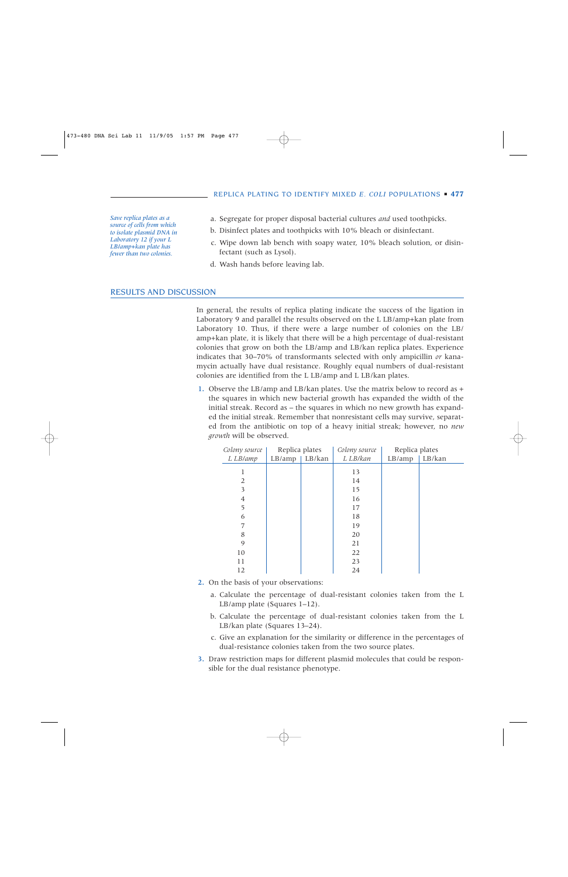*Save replica plates as a source of cells from which to isolate plasmid DNA in Laboratory 12 if your L LB/amp+kan plate has fewer than two colonies.*

- a. Segregate for proper disposal bacterial cultures *and* used toothpicks.
- b. Disinfect plates and toothpicks with 10% bleach or disinfectant.
- c. Wipe down lab bench with soapy water, 10% bleach solution, or disinfectant (such as Lysol).
- d. Wash hands before leaving lab.

### RESULTS AND DISCUSSION

In general, the results of replica plating indicate the success of the ligation in Laboratory 9 and parallel the results observed on the L LB/amp+kan plate from Laboratory 10. Thus, if there were a large number of colonies on the LB/ amp+kan plate, it is likely that there will be a high percentage of dual-resistant colonies that grow on both the LB/amp and LB/kan replica plates. Experience indicates that 30–70% of transformants selected with only ampicillin *or* kanamycin actually have dual resistance. Roughly equal numbers of dual-resistant colonies are identified from the L LB/amp and L LB/kan plates.

1. Observe the LB/amp and LB/kan plates. Use the matrix below to record as + the squares in which new bacterial growth has expanded the width of the initial streak. Record as – the squares in which no new growth has expanded the initial streak. Remember that nonresistant cells may survive, separated from the antibiotic on top of a heavy initial streak; however, no *new growth* will be observed.

| Colony source | Replica plates |        | Colony source | Replica plates |        |
|---------------|----------------|--------|---------------|----------------|--------|
| L LB/amp      | LB/amp         | LB/kan | L LB/kan      | LB/amp         | LB/kan |
| 1             |                |        | 13            |                |        |
| 2             |                |        | 14            |                |        |
| 3             |                |        | 15            |                |        |
| 4             |                |        | 16            |                |        |
| 5             |                |        | 17            |                |        |
| 6             |                |        | 18            |                |        |
| 7             |                |        | 19            |                |        |
| 8             |                |        | 20            |                |        |
| 9             |                |        | 21            |                |        |
| 10            |                |        | 22            |                |        |
| 11            |                |        | 23            |                |        |
| 12            |                |        | 24            |                |        |

- 2. On the basis of your observations:
	- a. Calculate the percentage of dual-resistant colonies taken from the L LB/amp plate (Squares 1–12).
	- b. Calculate the percentage of dual-resistant colonies taken from the L LB/kan plate (Squares 13–24).
	- c. Give an explanation for the similarity or difference in the percentages of dual-resistance colonies taken from the two source plates.
- 3. Draw restriction maps for different plasmid molecules that could be responsible for the dual resistance phenotype.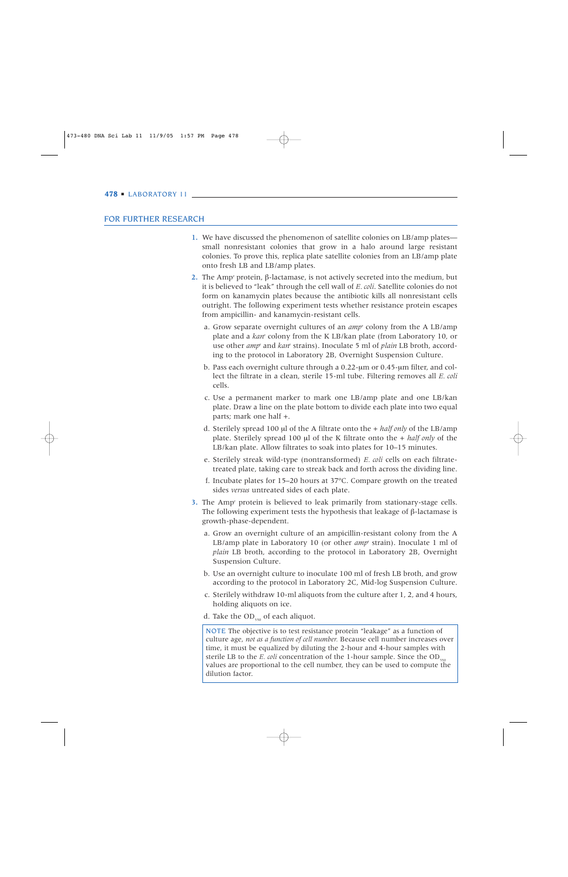## FOR FURTHER RESEARCH

- 1. We have discussed the phenomenon of satellite colonies on LB/amp plates small nonresistant colonies that grow in a halo around large resistant colonies. To prove this, replica plate satellite colonies from an LB/amp plate onto fresh LB and LB/amp plates.
- 2. The Amp<sup>r</sup> protein, β-lactamase, is not actively secreted into the medium, but it is believed to "leak" through the cell wall of *E. coli*. Satellite colonies do not form on kanamycin plates because the antibiotic kills all nonresistant cells outright. The following experiment tests whether resistance protein escapes from ampicillin- and kanamycin-resistant cells.
	- a. Grow separate overnight cultures of an *amp*<sup>r</sup> colony from the A LB/amp plate and a *kan*<sup>r</sup> colony from the K LB/kan plate (from Laboratory 10, or use other *amp*<sup>r</sup> and *kan*<sup>r</sup> strains). Inoculate 5 ml of *plain* LB broth, according to the protocol in Laboratory 2B, Overnight Suspension Culture.
	- b. Pass each overnight culture through a 0.22-µm or 0.45-µm filter, and collect the filtrate in a clean, sterile 15-ml tube. Filtering removes all *E. coli* cells.
	- c. Use a permanent marker to mark one LB/amp plate and one LB/kan plate. Draw a line on the plate bottom to divide each plate into two equal parts; mark one half +.
	- d. Sterilely spread 100 µl of the A filtrate onto the + *half only* of the LB/amp plate. Sterilely spread 100 µl of the K filtrate onto the + *half only* of the LB/kan plate. Allow filtrates to soak into plates for 10–15 minutes.
	- e. Sterilely streak wild-type (nontransformed) *E. coli* cells on each filtratetreated plate, taking care to streak back and forth across the dividing line.
	- f. Incubate plates for 15–20 hours at 37ºC. Compare growth on the treated sides *versus* untreated sides of each plate.
- 3. The Ampr protein is believed to leak primarily from stationary-stage cells. The following experiment tests the hypothesis that leakage of  $\beta$ -lactamase is growth-phase-dependent.
	- a. Grow an overnight culture of an ampicillin-resistant colony from the A LB/amp plate in Laboratory 10 (or other *amp*<sup>r</sup> strain). Inoculate 1 ml of *plain* LB broth, according to the protocol in Laboratory 2B, Overnight Suspension Culture.
	- b. Use an overnight culture to inoculate 100 ml of fresh LB broth, and grow according to the protocol in Laboratory 2C, Mid-log Suspension Culture.
	- c. Sterilely withdraw 10-ml aliquots from the culture after 1, 2, and 4 hours, holding aliquots on ice.
	- d. Take the  $OD_{550}$  of each aliquot.

NOTE The objective is to test resistance protein "leakage" as a function of culture age, *not as a function of cell number.* Because cell number increases over time, it must be equalized by diluting the 2-hour and 4-hour samples with sterile LB to the *E. coli* concentration of the 1-hour sample. Since the OD<sub>550</sub> values are proportional to the cell number, they can be used to compute the dilution factor.